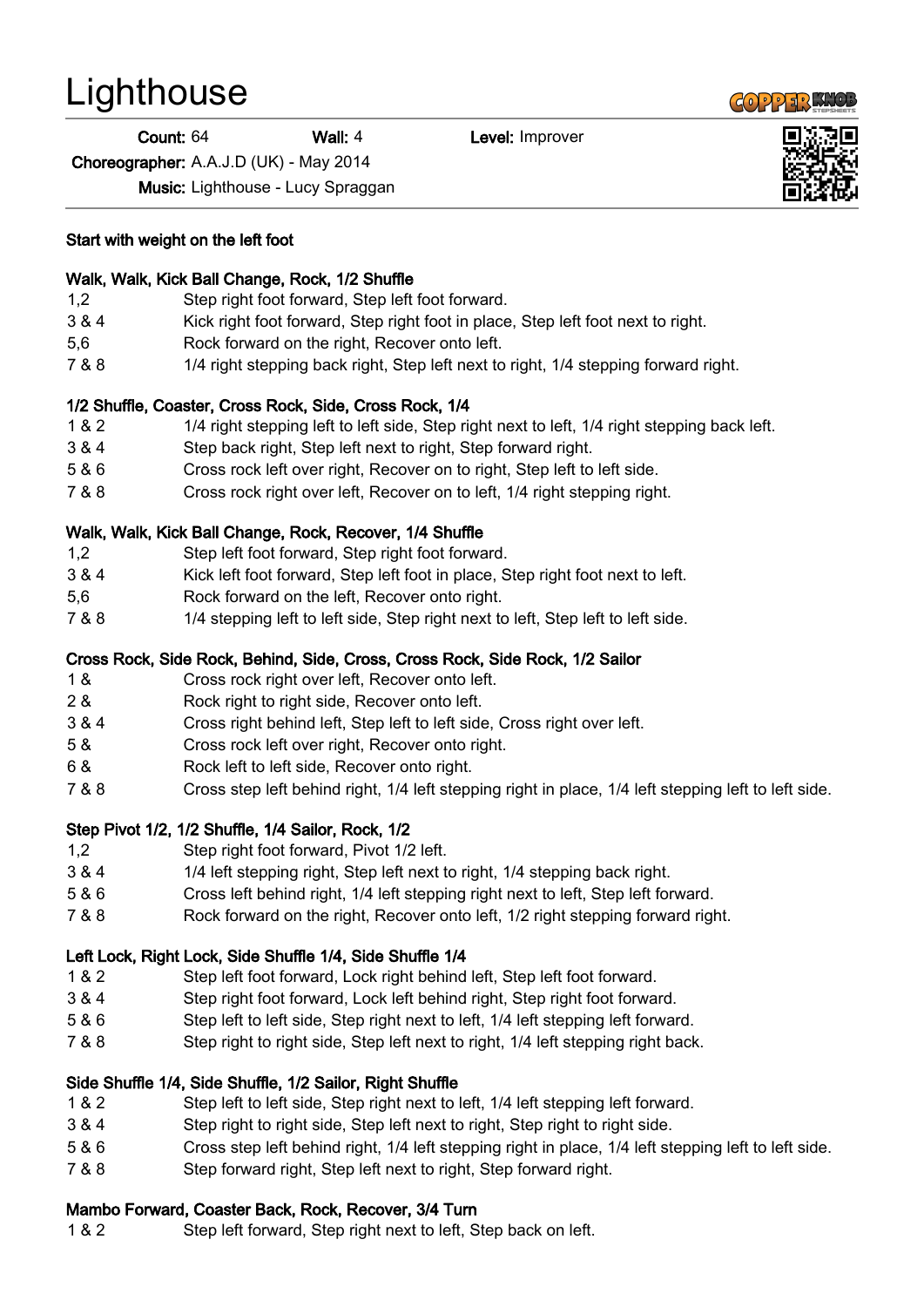# **Lighthouse**

Count: 64 Wall: 4 Level: Improver

Choreographer: A.A.J.D (UK) - May 2014

Music: Lighthouse - Lucy Spraggan

Start with weight on the left foot

#### Walk, Walk, Kick Ball Change, Rock, 1/2 Shuffle

- 1,2 Step right foot forward, Step left foot forward.
- 3 & 4 Kick right foot forward, Step right foot in place, Step left foot next to right.
- 5,6 Rock forward on the right, Recover onto left.
- 7 & 8 1/4 right stepping back right, Step left next to right, 1/4 stepping forward right.

## 1/2 Shuffle, Coaster, Cross Rock, Side, Cross Rock, 1/4

- 1 & 2 1/4 right stepping left to left side, Step right next to left, 1/4 right stepping back left.
- 3 & 4 Step back right, Step left next to right, Step forward right.
- 5 & 6 Cross rock left over right, Recover on to right, Step left to left side.
- 7 & 8 Cross rock right over left, Recover on to left, 1/4 right stepping right.

#### Walk, Walk, Kick Ball Change, Rock, Recover, 1/4 Shuffle

- 1,2 Step left foot forward, Step right foot forward.
- 3 & 4 Kick left foot forward, Step left foot in place, Step right foot next to left.
- 5,6 Rock forward on the left, Recover onto right.
- 7 & 8 1/4 stepping left to left side, Step right next to left, Step left to left side.

## Cross Rock, Side Rock, Behind, Side, Cross, Cross Rock, Side Rock, 1/2 Sailor

- 1 & Cross rock right over left, Recover onto left.
- 2 & Rock right to right side, Recover onto left.
- 3 & 4 Cross right behind left, Step left to left side, Cross right over left.
- 5 & Cross rock left over right, Recover onto right.
- 6 & Rock left to left side, Recover onto right.
- 7 & 8 Cross step left behind right, 1/4 left stepping right in place, 1/4 left stepping left to left side.

## Step Pivot 1/2, 1/2 Shuffle, 1/4 Sailor, Rock, 1/2

- 1,2 Step right foot forward, Pivot 1/2 left.
- 3 & 4 1/4 left stepping right, Step left next to right, 1/4 stepping back right.
- 5 & 6 Cross left behind right, 1/4 left stepping right next to left, Step left forward.
- 7 & 8 Rock forward on the right, Recover onto left, 1/2 right stepping forward right.

## Left Lock, Right Lock, Side Shuffle 1/4, Side Shuffle 1/4

- 1 & 2 Step left foot forward, Lock right behind left, Step left foot forward.
- 3 & 4 Step right foot forward, Lock left behind right, Step right foot forward.
- 5 & 6 Step left to left side, Step right next to left, 1/4 left stepping left forward.
- 7 & 8 Step right to right side, Step left next to right, 1/4 left stepping right back.

## Side Shuffle 1/4, Side Shuffle, 1/2 Sailor, Right Shuffle

- 1 & 2 Step left to left side, Step right next to left, 1/4 left stepping left forward.
- 3 & 4 Step right to right side, Step left next to right, Step right to right side.
- 5 & 6 Cross step left behind right, 1/4 left stepping right in place, 1/4 left stepping left to left side.
- 7 & 8 Step forward right, Step left next to right, Step forward right.

## Mambo Forward, Coaster Back, Rock, Recover, 3/4 Turn

1 & 2 Step left forward, Step right next to left, Step back on left.